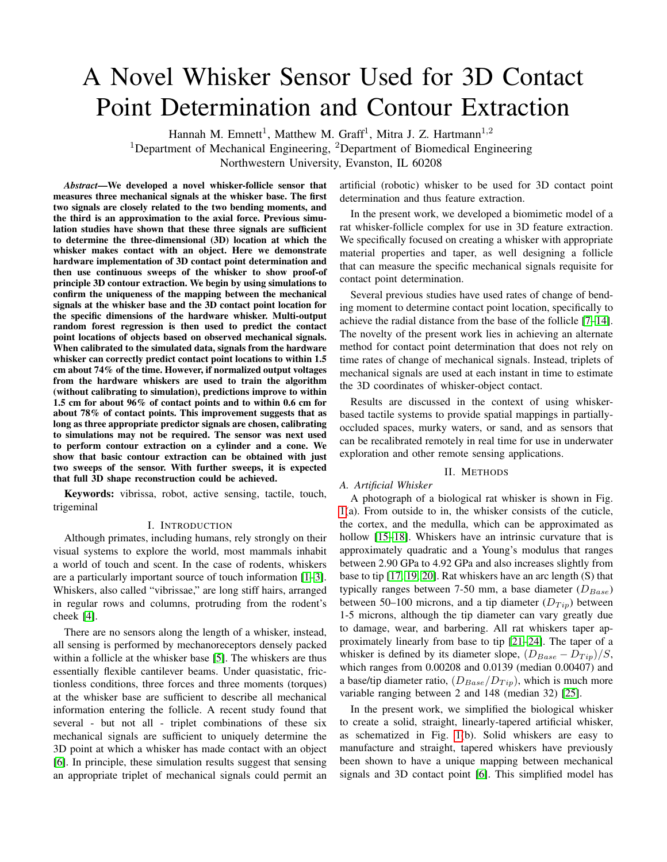# A Novel Whisker Sensor Used for 3D Contact Point Determination and Contour Extraction

Hannah M. Emnett<sup>1</sup>, Matthew M. Graff<sup>1</sup>, Mitra J. Z. Hartmann<sup>1,2</sup> <sup>1</sup>Department of Mechanical Engineering, <sup>2</sup>Department of Biomedical Engineering Northwestern University, Evanston, IL 60208

*Abstract*—We developed a novel whisker-follicle sensor that measures three mechanical signals at the whisker base. The first two signals are closely related to the two bending moments, and the third is an approximation to the axial force. Previous simulation studies have shown that these three signals are sufficient to determine the three-dimensional (3D) location at which the whisker makes contact with an object. Here we demonstrate hardware implementation of 3D contact point determination and then use continuous sweeps of the whisker to show proof-of principle 3D contour extraction. We begin by using simulations to confirm the uniqueness of the mapping between the mechanical signals at the whisker base and the 3D contact point location for the specific dimensions of the hardware whisker. Multi-output random forest regression is then used to predict the contact point locations of objects based on observed mechanical signals. When calibrated to the simulated data, signals from the hardware whisker can correctly predict contact point locations to within 1.5 cm about 74% of the time. However, if normalized output voltages from the hardware whiskers are used to train the algorithm (without calibrating to simulation), predictions improve to within 1.5 cm for about 96% of contact points and to within 0.6 cm for about 78% of contact points. This improvement suggests that as long as three appropriate predictor signals are chosen, calibrating to simulations may not be required. The sensor was next used to perform contour extraction on a cylinder and a cone. We show that basic contour extraction can be obtained with just two sweeps of the sensor. With further sweeps, it is expected that full 3D shape reconstruction could be achieved.

Keywords: vibrissa, robot, active sensing, tactile, touch, trigeminal

### I. INTRODUCTION

Although primates, including humans, rely strongly on their visual systems to explore the world, most mammals inhabit a world of touch and scent. In the case of rodents, whiskers are a particularly important source of touch information [\[1](#page-8-0)[–3\]](#page-8-1). Whiskers, also called "vibrissae," are long stiff hairs, arranged in regular rows and columns, protruding from the rodent's cheek [\[4\]](#page-8-2).

There are no sensors along the length of a whisker, instead, all sensing is performed by mechanoreceptors densely packed within a follicle at the whisker base [\[5\]](#page-8-3). The whiskers are thus essentially flexible cantilever beams. Under quasistatic, frictionless conditions, three forces and three moments (torques) at the whisker base are sufficient to describe all mechanical information entering the follicle. A recent study found that several - but not all - triplet combinations of these six mechanical signals are sufficient to uniquely determine the 3D point at which a whisker has made contact with an object [\[6\]](#page-8-4). In principle, these simulation results suggest that sensing an appropriate triplet of mechanical signals could permit an artificial (robotic) whisker to be used for 3D contact point determination and thus feature extraction.

In the present work, we developed a biomimetic model of a rat whisker-follicle complex for use in 3D feature extraction. We specifically focused on creating a whisker with appropriate material properties and taper, as well designing a follicle that can measure the specific mechanical signals requisite for contact point determination.

Several previous studies have used rates of change of bending moment to determine contact point location, specifically to achieve the radial distance from the base of the follicle [\[7](#page-8-5)[–14\]](#page-8-6). The novelty of the present work lies in achieving an alternate method for contact point determination that does not rely on time rates of change of mechanical signals. Instead, triplets of mechanical signals are used at each instant in time to estimate the 3D coordinates of whisker-object contact.

Results are discussed in the context of using whiskerbased tactile systems to provide spatial mappings in partiallyoccluded spaces, murky waters, or sand, and as sensors that can be recalibrated remotely in real time for use in underwater exploration and other remote sensing applications.

## II. METHODS

# <span id="page-0-0"></span>*A. Artificial Whisker* A photograph of a biological rat whisker is shown in Fig. [1\(](#page-1-0)a). From outside to in, the whisker consists of the cuticle, the cortex, and the medulla, which can be approximated as hollow [\[15–](#page-8-7)[18\]](#page-8-8). Whiskers have an intrinsic curvature that is approximately quadratic and a Young's modulus that ranges between 2.90 GPa to 4.92 GPa and also increases slightly from base to tip [\[17,](#page-8-9) [19,](#page-8-10) [20\]](#page-8-11). Rat whiskers have an arc length (S) that typically ranges between 7-50 mm, a base diameter  $(D_{Base})$ between 50–100 microns, and a tip diameter  $(D_{Tip})$  between 1-5 microns, although the tip diameter can vary greatly due to damage, wear, and barbering. All rat whiskers taper approximately linearly from base to tip [\[21](#page-8-12)[–24\]](#page-8-13). The taper of a whisker is defined by its diameter slope,  $(D_{Base} - D_{Tip})/S$ , which ranges from 0.00208 and 0.0139 (median 0.00407) and

In the present work, we simplified the biological whisker to create a solid, straight, linearly-tapered artificial whisker, as schematized in Fig. [1\(](#page-1-0)b). Solid whiskers are easy to manufacture and straight, tapered whiskers have previously been shown to have a unique mapping between mechanical signals and 3D contact point [\[6\]](#page-8-4). This simplified model has

a base/tip diameter ratio,  $(D_{Base}/D_{Tip})$ , which is much more variable ranging between 2 and 148 (median 32) [\[25\]](#page-8-14).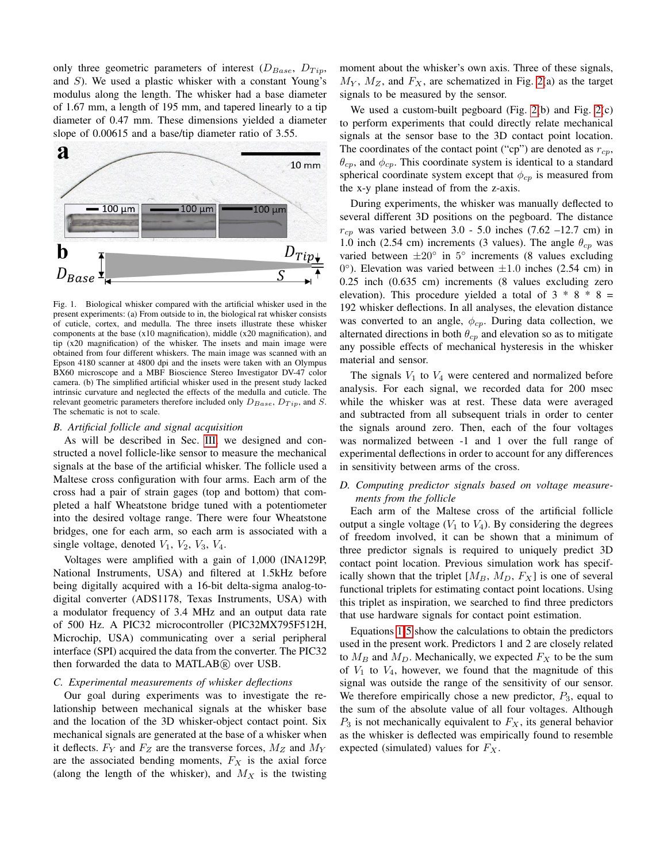only three geometric parameters of interest  $(D_{Base}, D_{Tip},$ and  $S$ ). We used a plastic whisker with a constant Young's modulus along the length. The whisker had a base diameter of 1.67 mm, a length of 195 mm, and tapered linearly to a tip diameter of 0.47 mm. These dimensions yielded a diameter slope of 0.00615 and a base/tip diameter ratio of 3.55.



<span id="page-1-0"></span>Fig. 1. Biological whisker compared with the artificial whisker used in the present experiments: (a) From outside to in, the biological rat whisker consists of cuticle, cortex, and medulla. The three insets illustrate these whisker components at the base (x10 magnification), middle (x20 magnification), and tip (x20 magnification) of the whisker. The insets and main image were obtained from four different whiskers. The main image was scanned with an Epson 4180 scanner at 4800 dpi and the insets were taken with an Olympus BX60 microscope and a MBF Bioscience Stereo Investigator DV-47 color camera. (b) The simplified artificial whisker used in the present study lacked intrinsic curvature and neglected the effects of the medulla and cuticle. The relevant geometric parameters therefore included only  $D_{Base}$ ,  $D_{Tip}$ , and S. The schematic is not to scale.

#### *B. Artificial follicle and signal acquisition*

As will be described in Sec. [III,](#page-3-0) we designed and constructed a novel follicle-like sensor to measure the mechanical signals at the base of the artificial whisker. The follicle used a Maltese cross configuration with four arms. Each arm of the cross had a pair of strain gages (top and bottom) that completed a half Wheatstone bridge tuned with a potentiometer into the desired voltage range. There were four Wheatstone bridges, one for each arm, so each arm is associated with a single voltage, denoted  $V_1$ ,  $V_2$ ,  $V_3$ ,  $V_4$ .

Voltages were amplified with a gain of 1,000 (INA129P, National Instruments, USA) and filtered at 1.5kHz before being digitally acquired with a 16-bit delta-sigma analog-todigital converter (ADS1178, Texas Instruments, USA) with a modulator frequency of 3.4 MHz and an output data rate of 500 Hz. A PIC32 microcontroller (PIC32MX795F512H, Microchip, USA) communicating over a serial peripheral interface (SPI) acquired the data from the converter. The PIC32 then forwarded the data to MATLAB® over USB.

## *C. Experimental measurements of whisker deflections*

Our goal during experiments was to investigate the relationship between mechanical signals at the whisker base and the location of the 3D whisker-object contact point. Six mechanical signals are generated at the base of a whisker when it deflects.  $F_Y$  and  $F_Z$  are the transverse forces,  $M_Z$  and  $M_Y$ are the associated bending moments,  $F_X$  is the axial force (along the length of the whisker), and  $M_X$  is the twisting moment about the whisker's own axis. Three of these signals,  $M_Y$ ,  $M_Z$ , and  $F_X$ , are schematized in Fig. [2\(](#page-2-0)a) as the target signals to be measured by the sensor.

We used a custom-built pegboard (Fig. [2\(](#page-2-0)b) and Fig. [2\(](#page-2-0)c) to perform experiments that could directly relate mechanical signals at the sensor base to the 3D contact point location. The coordinates of the contact point ("cp") are denoted as  $r_{cp}$ ,  $\theta_{cp}$ , and  $\phi_{cp}$ . This coordinate system is identical to a standard spherical coordinate system except that  $\phi_{cp}$  is measured from the x-y plane instead of from the z-axis.

During experiments, the whisker was manually deflected to several different 3D positions on the pegboard. The distance  $r_{cp}$  was varied between 3.0 - 5.0 inches (7.62 –12.7 cm) in 1.0 inch (2.54 cm) increments (3 values). The angle  $\theta_{cp}$  was varied between  $\pm 20^\circ$  in  $5^\circ$  increments (8 values excluding  $0^{\circ}$ ). Elevation was varied between  $\pm 1.0$  inches (2.54 cm) in 0.25 inch (0.635 cm) increments (8 values excluding zero elevation). This procedure yielded a total of  $3 * 8 * 8 =$ 192 whisker deflections. In all analyses, the elevation distance was converted to an angle,  $\phi_{cp}$ . During data collection, we alternated directions in both  $\theta_{cp}$  and elevation so as to mitigate any possible effects of mechanical hysteresis in the whisker material and sensor.

The signals  $V_1$  to  $V_4$  were centered and normalized before analysis. For each signal, we recorded data for 200 msec while the whisker was at rest. These data were averaged and subtracted from all subsequent trials in order to center the signals around zero. Then, each of the four voltages was normalized between -1 and 1 over the full range of experimental deflections in order to account for any differences in sensitivity between arms of the cross.

# *D. Computing predictor signals based on voltage measurements from the follicle*

Each arm of the Maltese cross of the artificial follicle output a single voltage  $(V_1$  to  $V_4)$ . By considering the degrees of freedom involved, it can be shown that a minimum of three predictor signals is required to uniquely predict 3D contact point location. Previous simulation work has specifically shown that the triplet  $[M_B, M_D, F_X]$  is one of several functional triplets for estimating contact point locations. Using this triplet as inspiration, we searched to find three predictors that use hardware signals for contact point estimation.

Equations [1-](#page-2-1)[5](#page-2-2) show the calculations to obtain the predictors used in the present work. Predictors 1 and 2 are closely related to  $M_B$  and  $M_D$ . Mechanically, we expected  $F_X$  to be the sum of  $V_1$  to  $V_4$ , however, we found that the magnitude of this signal was outside the range of the sensitivity of our sensor. We therefore empirically chose a new predictor,  $P_3$ , equal to the sum of the absolute value of all four voltages. Although  $P_3$  is not mechanically equivalent to  $F_X$ , its general behavior as the whisker is deflected was empirically found to resemble expected (simulated) values for  $F_X$ .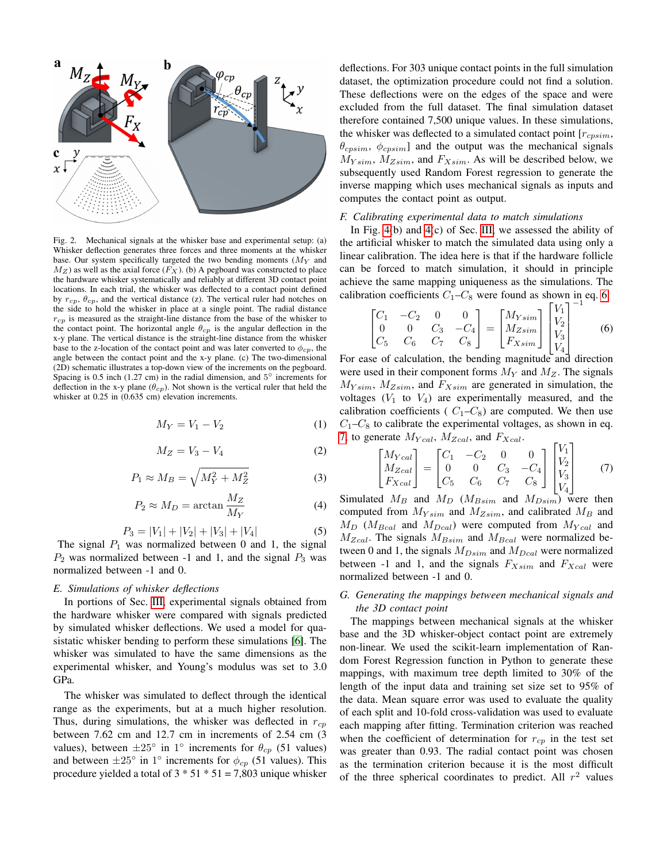

<span id="page-2-0"></span>Fig. 2. Mechanical signals at the whisker base and experimental setup: (a) Whisker deflection generates three forces and three moments at the whisker base. Our system specifically targeted the two bending moments  $(M<sub>Y</sub>$  and  $M_Z$ ) as well as the axial force  $(F_X)$ . (b) A pegboard was constructed to place the hardware whisker systematically and reliably at different 3D contact point locations. In each trial, the whisker was deflected to a contact point defined by  $r_{cp}$ ,  $\theta_{cp}$ , and the vertical distance (z). The vertical ruler had notches on the side to hold the whisker in place at a single point. The radial distance  $r_{cp}$  is measured as the straight-line distance from the base of the whisker to the contact point. The horizontal angle  $\theta_{cp}$  is the angular deflection in the x-y plane. The vertical distance is the straight-line distance from the whisker base to the z-location of the contact point and was later converted to  $\phi_{cp}$ , the angle between the contact point and the x-y plane. (c) The two-dimensional (2D) schematic illustrates a top-down view of the increments on the pegboard. Spacing is 0.5 inch (1.27 cm) in the radial dimension, and  $5^{\circ}$  increments for deflection in the x-y plane ( $\theta_{cp}$ ). Not shown is the vertical ruler that held the whisker at 0.25 in (0.635 cm) elevation increments.

$$
M_Y = V_1 - V_2 \tag{1}
$$

$$
M_Z = V_3 - V_4 \tag{2}
$$

<span id="page-2-1"></span>
$$
P_1 \approx M_B = \sqrt{M_Y^2 + M_Z^2} \tag{3}
$$

$$
P_2 \approx M_D = \arctan \frac{M_Z}{M_Y} \tag{4}
$$

$$
P_3 = |V_1| + |V_2| + |V_3| + |V_4| \tag{5}
$$

<span id="page-2-2"></span>The signal  $P_1$  was normalized between 0 and 1, the signal  $P_2$  was normalized between -1 and 1, and the signal  $P_3$  was normalized between -1 and 0.

## *E. Simulations of whisker deflections*

In portions of Sec. [III,](#page-3-0) experimental signals obtained from the hardware whisker were compared with signals predicted by simulated whisker deflections. We used a model for quasistatic whisker bending to perform these simulations [\[6\]](#page-8-4). The whisker was simulated to have the same dimensions as the experimental whisker, and Young's modulus was set to 3.0 GPa.

The whisker was simulated to deflect through the identical range as the experiments, but at a much higher resolution. Thus, during simulations, the whisker was deflected in  $r_{cr}$ between 7.62 cm and 12.7 cm in increments of 2.54 cm (3 values), between  $\pm 25^{\circ}$  in 1° increments for  $\theta_{cp}$  (51 values) and between  $\pm 25^{\circ}$  in 1° increments for  $\phi_{cp}$  (51 values). This procedure yielded a total of  $3 * 51 * 51 = 7,803$  unique whisker

deflections. For 303 unique contact points in the full simulation dataset, the optimization procedure could not find a solution. These deflections were on the edges of the space and were excluded from the full dataset. The final simulation dataset therefore contained 7,500 unique values. In these simulations, the whisker was deflected to a simulated contact point  $[r_{cpsim},$  $\theta_{cpsim}, \phi_{cpsim}$ ] and the output was the mechanical signals  $M_{Ysim}$ ,  $M_{Zsim}$ , and  $F_{Xsim}$ . As will be described below, we subsequently used Random Forest regression to generate the inverse mapping which uses mechanical signals as inputs and computes the contact point as output.

#### *F. Calibrating experimental data to match simulations*

In Fig. [4\(](#page-5-0)b) and [4\(](#page-5-0)c) of Sec. [III,](#page-3-0) we assessed the ability of the artificial whisker to match the simulated data using only a linear calibration. The idea here is that if the hardware follicle can be forced to match simulation, it should in principle achieve the same mapping uniqueness as the simulations. The calibration coefficients  $C_1 - C_8$  were found as shown in eq. [6.](#page-2-3)

<span id="page-2-3"></span>
$$
\begin{bmatrix} C_1 & -C_2 & 0 & 0 \ 0 & 0 & C_3 & -C_4 \ C_5 & C_6 & C_7 & C_8 \ \end{bmatrix} = \begin{bmatrix} M_{Ysim} \\ M_{Zsim} \\ F_{Xsim} \end{bmatrix} \begin{bmatrix} V_1 \\ V_2 \\ V_3 \\ V_4 \end{bmatrix}^{-1}
$$
 (6)

For ease of calculation, the bending magnitude and direction were used in their component forms  $M_Y$  and  $M_Z$ . The signals  $M_{Ysim}$ ,  $M_{Zsim}$ , and  $F_{Xsim}$  are generated in simulation, the voltages  $(V_1$  to  $V_4$ ) are experimentally measured, and the calibration coefficients ( $C_1-C_8$ ) are computed. We then use  $C_1-C_8$  to calibrate the experimental voltages, as shown in eq. [7,](#page-2-4) to generate  $M_{Ycal}$ ,  $M_{Zcal}$ , and  $F_{Xcal}$ .

<span id="page-2-4"></span>
$$
\begin{bmatrix} M_{Ycal} \\ M_{Zcal} \\ F_{Xcal} \end{bmatrix} = \begin{bmatrix} C_1 & -C_2 & 0 & 0 \\ 0 & 0 & C_3 & -C_4 \\ C_5 & C_6 & C_7 & C_8 \end{bmatrix} \begin{bmatrix} V_1 \\ V_2 \\ V_3 \\ V_4 \end{bmatrix}
$$
 (7)

Simulated  $M_B$  and  $M_D$  ( $M_{Bsim}$  and  $M_{Dsim}$ ) were then computed from  $M_{Ysim}$  and  $M_{Zsim}$ , and calibrated  $M_B$  and  $M_D$  ( $M_{Bcal}$  and  $M_{Dcal}$ ) were computed from  $M_{Ycal}$  and  $M_{Zcal}$ . The signals  $M_{Bsim}$  and  $M_{Bcal}$  were normalized between 0 and 1, the signals  $M_{Dsim}$  and  $M_{Dcal}$  were normalized between -1 and 1, and the signals  $F_{Xsim}$  and  $F_{Xcal}$  were normalized between -1 and 0.

## *G. Generating the mappings between mechanical signals and the 3D contact point*

The mappings between mechanical signals at the whisker base and the 3D whisker-object contact point are extremely non-linear. We used the scikit-learn implementation of Random Forest Regression function in Python to generate these mappings, with maximum tree depth limited to 30% of the length of the input data and training set size set to 95% of the data. Mean square error was used to evaluate the quality of each split and 10-fold cross-validation was used to evaluate each mapping after fitting. Termination criterion was reached when the coefficient of determination for  $r_{cp}$  in the test set was greater than 0.93. The radial contact point was chosen as the termination criterion because it is the most difficult of the three spherical coordinates to predict. All  $r^2$  values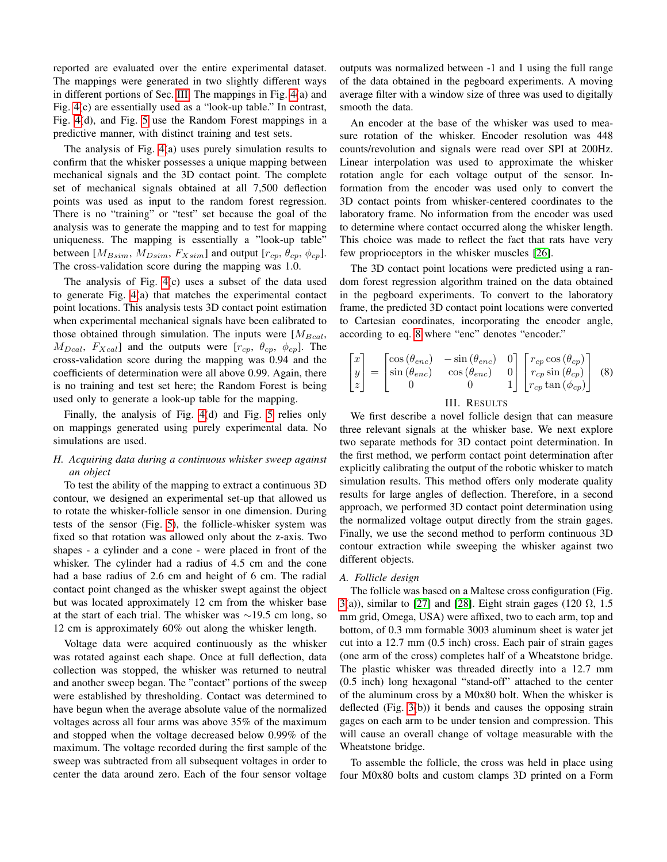reported are evaluated over the entire experimental dataset. The mappings were generated in two slightly different ways in different portions of Sec. [III.](#page-3-0) The mappings in Fig. [4\(](#page-5-0)a) and Fig. [4\(](#page-5-0)c) are essentially used as a "look-up table." In contrast, Fig. [4\(](#page-5-0)d), and Fig. [5](#page-6-0) use the Random Forest mappings in a predictive manner, with distinct training and test sets.

The analysis of Fig. [4\(](#page-5-0)a) uses purely simulation results to confirm that the whisker possesses a unique mapping between mechanical signals and the 3D contact point. The complete set of mechanical signals obtained at all 7,500 deflection points was used as input to the random forest regression. There is no "training" or "test" set because the goal of the analysis was to generate the mapping and to test for mapping uniqueness. The mapping is essentially a "look-up table" between [ $M_{Bsim}$ ,  $M_{Dsim}$ ,  $F_{Xsim}$ ] and output [ $r_{cp}$ ,  $\theta_{cp}$ ,  $\phi_{cp}$ ]. The cross-validation score during the mapping was 1.0.

The analysis of Fig. [4\(](#page-5-0)c) uses a subset of the data used to generate Fig. [4\(](#page-5-0)a) that matches the experimental contact point locations. This analysis tests 3D contact point estimation when experimental mechanical signals have been calibrated to those obtained through simulation. The inputs were  $[M_{Bcal}]$ ,  $M_{Dcal}$ ,  $F_{Xcal}$ ] and the outputs were  $[r_{cp}, \theta_{cp}, \phi_{cp}]$ . The cross-validation score during the mapping was 0.94 and the coefficients of determination were all above 0.99. Again, there is no training and test set here; the Random Forest is being used only to generate a look-up table for the mapping.

Finally, the analysis of Fig. [4\(](#page-5-0)d) and Fig. [5](#page-6-0) relies only on mappings generated using purely experimental data. No simulations are used.

# *H. Acquiring data during a continuous whisker sweep against an object*

To test the ability of the mapping to extract a continuous 3D contour, we designed an experimental set-up that allowed us to rotate the whisker-follicle sensor in one dimension. During tests of the sensor (Fig. [5\)](#page-6-0), the follicle-whisker system was fixed so that rotation was allowed only about the z-axis. Two shapes - a cylinder and a cone - were placed in front of the whisker. The cylinder had a radius of 4.5 cm and the cone had a base radius of 2.6 cm and height of 6 cm. The radial contact point changed as the whisker swept against the object but was located approximately 12 cm from the whisker base at the start of each trial. The whisker was ∼19.5 cm long, so 12 cm is approximately 60% out along the whisker length.

Voltage data were acquired continuously as the whisker was rotated against each shape. Once at full deflection, data collection was stopped, the whisker was returned to neutral and another sweep began. The "contact" portions of the sweep were established by thresholding. Contact was determined to have begun when the average absolute value of the normalized voltages across all four arms was above 35% of the maximum and stopped when the voltage decreased below 0.99% of the maximum. The voltage recorded during the first sample of the sweep was subtracted from all subsequent voltages in order to center the data around zero. Each of the four sensor voltage outputs was normalized between -1 and 1 using the full range of the data obtained in the pegboard experiments. A moving average filter with a window size of three was used to digitally smooth the data.

An encoder at the base of the whisker was used to measure rotation of the whisker. Encoder resolution was 448 counts/revolution and signals were read over SPI at 200Hz. Linear interpolation was used to approximate the whisker rotation angle for each voltage output of the sensor. Information from the encoder was used only to convert the 3D contact points from whisker-centered coordinates to the laboratory frame. No information from the encoder was used to determine where contact occurred along the whisker length. This choice was made to reflect the fact that rats have very few proprioceptors in the whisker muscles [\[26\]](#page-8-15).

The 3D contact point locations were predicted using a random forest regression algorithm trained on the data obtained in the pegboard experiments. To convert to the laboratory frame, the predicted 3D contact point locations were converted to Cartesian coordinates, incorporating the encoder angle, according to eq. [8](#page-3-1) where "enc" denotes "encoder."

<span id="page-3-1"></span>
$$
\begin{bmatrix} x \\ y \\ z \end{bmatrix} = \begin{bmatrix} \cos(\theta_{enc}) & -\sin(\theta_{enc}) & 0 \\ \sin(\theta_{enc}) & \cos(\theta_{enc}) & 0 \\ 0 & 0 & 1 \end{bmatrix} \begin{bmatrix} r_{cp} \cos(\theta_{cp}) \\ r_{cp} \sin(\theta_{cp}) \\ r_{cp} \tan(\phi_{cp}) \end{bmatrix}
$$
(8)

## III. RESULTS

<span id="page-3-0"></span>We first describe a novel follicle design that can measure three relevant signals at the whisker base. We next explore two separate methods for 3D contact point determination. In the first method, we perform contact point determination after explicitly calibrating the output of the robotic whisker to match simulation results. This method offers only moderate quality results for large angles of deflection. Therefore, in a second approach, we performed 3D contact point determination using the normalized voltage output directly from the strain gages. Finally, we use the second method to perform continuous 3D contour extraction while sweeping the whisker against two different objects.

#### *A. Follicle design*

The follicle was based on a Maltese cross configuration (Fig. [3\(](#page-4-0)a)), similar to [\[27\]](#page-8-16) and [\[28\]](#page-8-17). Eight strain gages (120  $\Omega$ , 1.5 mm grid, Omega, USA) were affixed, two to each arm, top and bottom, of 0.3 mm formable 3003 aluminum sheet is water jet cut into a 12.7 mm (0.5 inch) cross. Each pair of strain gages (one arm of the cross) completes half of a Wheatstone bridge. The plastic whisker was threaded directly into a 12.7 mm (0.5 inch) long hexagonal "stand-off" attached to the center of the aluminum cross by a M0x80 bolt. When the whisker is deflected (Fig. [3\(](#page-4-0)b)) it bends and causes the opposing strain gages on each arm to be under tension and compression. This will cause an overall change of voltage measurable with the Wheatstone bridge.

To assemble the follicle, the cross was held in place using four M0x80 bolts and custom clamps 3D printed on a Form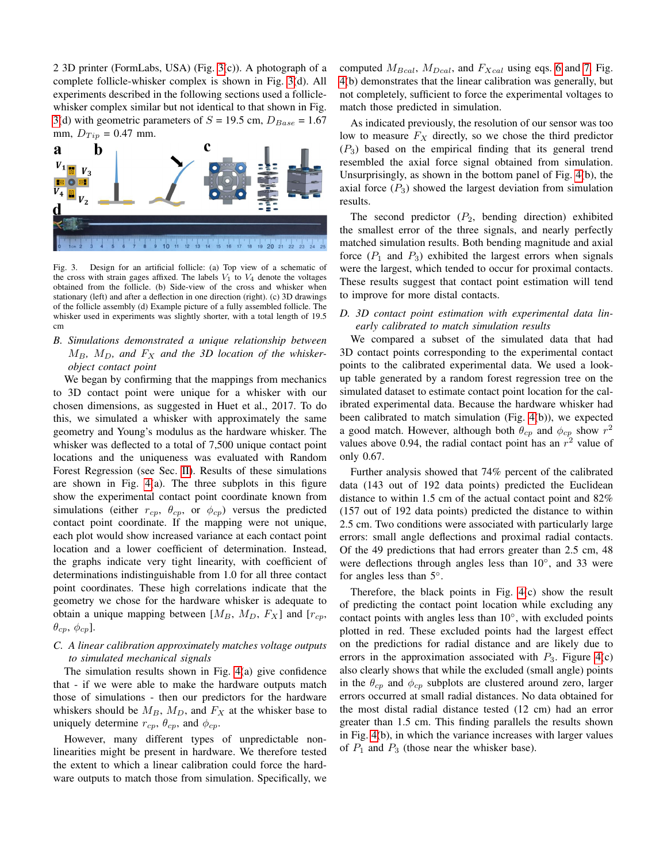2 3D printer (FormLabs, USA) (Fig. [3\(](#page-4-0)c)). A photograph of a complete follicle-whisker complex is shown in Fig. [3\(](#page-4-0)d). All experiments described in the following sections used a folliclewhisker complex similar but not identical to that shown in Fig. [3\(](#page-4-0)d) with geometric parameters of  $S = 19.5$  cm,  $D_{Base} = 1.67$ mm,  $D_{Tip} = 0.47$  mm.



<span id="page-4-0"></span>Fig. 3. Design for an artificial follicle: (a) Top view of a schematic of the cross with strain gages affixed. The labels  $V_1$  to  $V_4$  denote the voltages obtained from the follicle. (b) Side-view of the cross and whisker when stationary (left) and after a deflection in one direction (right). (c) 3D drawings of the follicle assembly (d) Example picture of a fully assembled follicle. The whisker used in experiments was slightly shorter, with a total length of 19.5 cm

# *B. Simulations demonstrated a unique relationship between*  $M_B$ ,  $M_D$ , and  $F_X$  and the 3D location of the whisker*object contact point*

We began by confirming that the mappings from mechanics to 3D contact point were unique for a whisker with our chosen dimensions, as suggested in Huet et al., 2017. To do this, we simulated a whisker with approximately the same geometry and Young's modulus as the hardware whisker. The whisker was deflected to a total of 7,500 unique contact point locations and the uniqueness was evaluated with Random Forest Regression (see Sec. [II\)](#page-0-0). Results of these simulations are shown in Fig. [4\(](#page-5-0)a). The three subplots in this figure show the experimental contact point coordinate known from simulations (either  $r_{cp}$ ,  $\theta_{cp}$ , or  $\phi_{cp}$ ) versus the predicted contact point coordinate. If the mapping were not unique, each plot would show increased variance at each contact point location and a lower coefficient of determination. Instead, the graphs indicate very tight linearity, with coefficient of determinations indistinguishable from 1.0 for all three contact point coordinates. These high correlations indicate that the geometry we chose for the hardware whisker is adequate to obtain a unique mapping between  $[M_B, M_D, F_X]$  and  $[r_{cp},$  $\theta_{cp}, \phi_{cp}$ ].

## *C. A linear calibration approximately matches voltage outputs to simulated mechanical signals*

The simulation results shown in Fig. [4\(](#page-5-0)a) give confidence that - if we were able to make the hardware outputs match those of simulations - then our predictors for the hardware whiskers should be  $M_B$ ,  $M_D$ , and  $F_X$  at the whisker base to uniquely determine  $r_{cp}$ ,  $\theta_{cp}$ , and  $\phi_{cp}$ .

However, many different types of unpredictable nonlinearities might be present in hardware. We therefore tested the extent to which a linear calibration could force the hardware outputs to match those from simulation. Specifically, we computed  $M_{Bcal}$ ,  $M_{Dcal}$ , and  $F_{Xcal}$  using eqs. [6](#page-2-3) and [7.](#page-2-4) Fig. [4\(](#page-5-0)b) demonstrates that the linear calibration was generally, but not completely, sufficient to force the experimental voltages to match those predicted in simulation.

As indicated previously, the resolution of our sensor was too low to measure  $F_X$  directly, so we chose the third predictor  $(P_3)$  based on the empirical finding that its general trend resembled the axial force signal obtained from simulation. Unsurprisingly, as shown in the bottom panel of Fig. [4\(](#page-5-0)b), the axial force  $(P_3)$  showed the largest deviation from simulation results.

The second predictor  $(P_2, \text{ bending direction})$  exhibited the smallest error of the three signals, and nearly perfectly matched simulation results. Both bending magnitude and axial force  $(P_1$  and  $P_3$ ) exhibited the largest errors when signals were the largest, which tended to occur for proximal contacts. These results suggest that contact point estimation will tend to improve for more distal contacts.

# *D. 3D contact point estimation with experimental data linearly calibrated to match simulation results*

We compared a subset of the simulated data that had 3D contact points corresponding to the experimental contact points to the calibrated experimental data. We used a lookup table generated by a random forest regression tree on the simulated dataset to estimate contact point location for the calibrated experimental data. Because the hardware whisker had been calibrated to match simulation (Fig. [4\(](#page-5-0)b)), we expected a good match. However, although both  $\theta_{cp}$  and  $\phi_{cp}$  show  $r^2$ values above 0.94, the radial contact point has an  $r^2$  value of only 0.67.

Further analysis showed that 74% percent of the calibrated data (143 out of 192 data points) predicted the Euclidean distance to within 1.5 cm of the actual contact point and 82% (157 out of 192 data points) predicted the distance to within 2.5 cm. Two conditions were associated with particularly large errors: small angle deflections and proximal radial contacts. Of the 49 predictions that had errors greater than 2.5 cm, 48 were deflections through angles less than 10°, and 33 were for angles less than 5°.

Therefore, the black points in Fig. [4\(](#page-5-0)c) show the result of predicting the contact point location while excluding any contact points with angles less than 10◦ , with excluded points plotted in red. These excluded points had the largest effect on the predictions for radial distance and are likely due to errors in the approximation associated with  $P_3$ . Figure [4\(](#page-5-0)c) also clearly shows that while the excluded (small angle) points in the  $\theta_{cp}$  and  $\phi_{cp}$  subplots are clustered around zero, larger errors occurred at small radial distances. No data obtained for the most distal radial distance tested (12 cm) had an error greater than 1.5 cm. This finding parallels the results shown in Fig. [4\(](#page-5-0)b), in which the variance increases with larger values of  $P_1$  and  $P_3$  (those near the whisker base).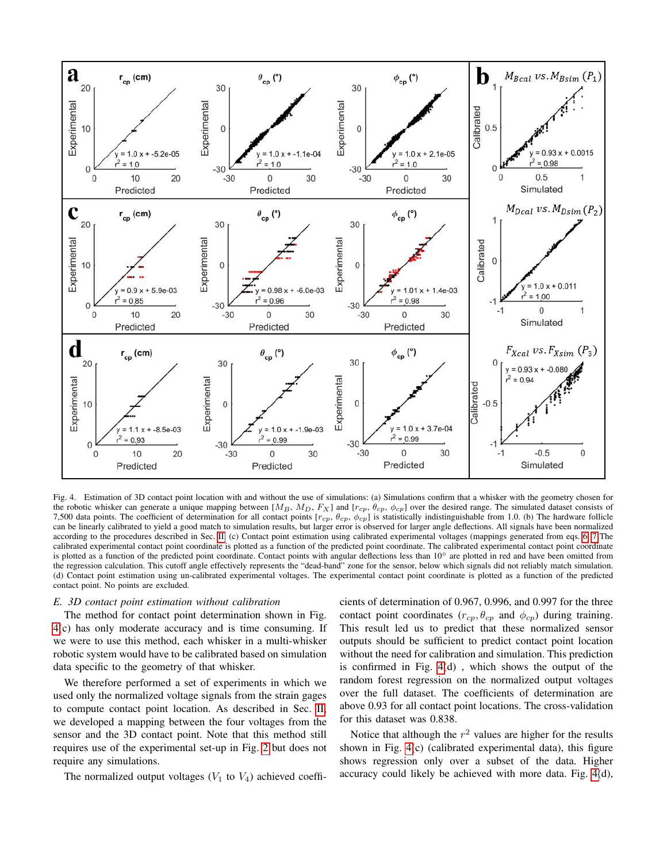

<span id="page-5-0"></span>Fig. 4. Estimation of 3D contact point location with and without the use of simulations: (a) Simulations confirm that a whisker with the geometry chosen for the robotic whisker can generate a unique mapping between [ $M_B$ ,  $M_D$ ,  $F_X$ ] and [ $r_{cp}$ ,  $\theta_{cp}$ ,  $\phi_{cp}$ ] over the desired range. The simulated dataset consists of 7,500 data points. The coefficient of determination for all contact points  $[r_{cp}, \theta_{cp}, \phi_{cp}]$  is statistically indistinguishable from 1.0. (b) The hardware follicle can be linearly calibrated to yield a good match to simulation results, but larger error is observed for larger angle deflections. All signals have been normalized according to the procedures described in Sec. [II.](#page-0-0) (c) Contact point estimation using calibrated experimental voltages (mappings generated from eqs. [6,](#page-2-3) [7](#page-2-4) The calibrated experimental contact point coordinate is plotted as a function of the predicted point coordinate. The calibrated experimental contact point coordinate is plotted as a function of the predicted point coordinate. Contact points with angular deflections less than 10° are plotted in red and have been omitted from the regression calculation. This cutoff angle effectively represents the "dead-band" zone for the sensor, below which signals did not reliably match simulation. (d) Contact point estimation using un-calibrated experimental voltages. The experimental contact point coordinate is plotted as a function of the predicted contact point. No points are excluded.

### *E. 3D contact point estimation without calibration*

The method for contact point determination shown in Fig. [4\(](#page-5-0)c) has only moderate accuracy and is time consuming. If we were to use this method, each whisker in a multi-whisker robotic system would have to be calibrated based on simulation data specific to the geometry of that whisker.

We therefore performed a set of experiments in which we used only the normalized voltage signals from the strain gages to compute contact point location. As described in Sec. [II,](#page-0-0) we developed a mapping between the four voltages from the sensor and the 3D contact point. Note that this method still requires use of the experimental set-up in Fig. [2](#page-2-0) but does not require any simulations.

The normalized output voltages  $(V_1$  to  $V_4$ ) achieved coeffi-

cients of determination of 0.967, 0.996, and 0.997 for the three contact point coordinates ( $r_{cp}$ ,  $\theta_{cp}$  and  $\phi_{cp}$ ) during training. This result led us to predict that these normalized sensor outputs should be sufficient to predict contact point location without the need for calibration and simulation. This prediction is confirmed in Fig. [4\(](#page-5-0)d) , which shows the output of the random forest regression on the normalized output voltages over the full dataset. The coefficients of determination are above 0.93 for all contact point locations. The cross-validation for this dataset was 0.838.

Notice that although the  $r^2$  values are higher for the results shown in Fig. [4\(](#page-5-0)c) (calibrated experimental data), this figure shows regression only over a subset of the data. Higher accuracy could likely be achieved with more data. Fig. [4\(](#page-5-0)d),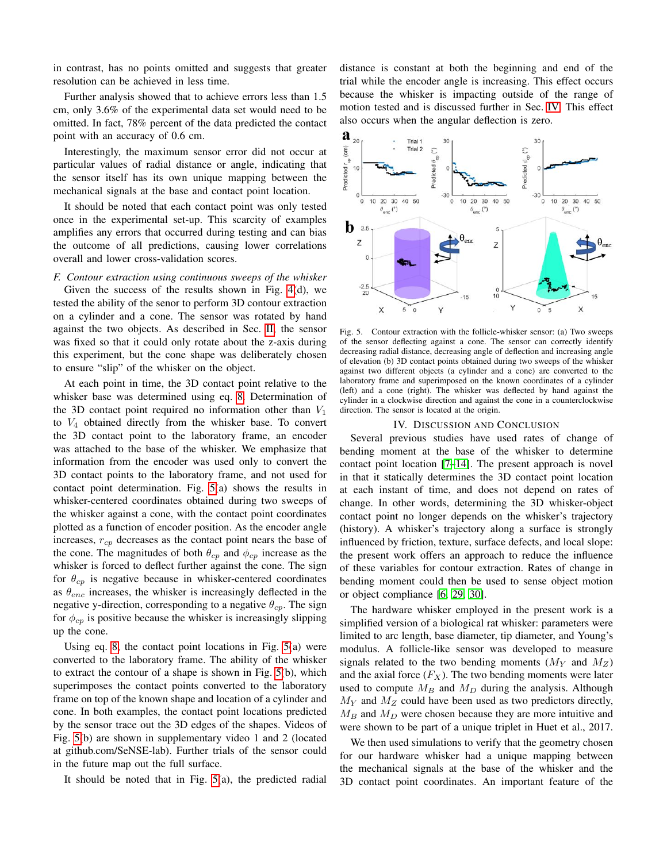in contrast, has no points omitted and suggests that greater resolution can be achieved in less time.

Further analysis showed that to achieve errors less than 1.5 cm, only 3.6% of the experimental data set would need to be omitted. In fact, 78% percent of the data predicted the contact point with an accuracy of 0.6 cm.

Interestingly, the maximum sensor error did not occur at particular values of radial distance or angle, indicating that the sensor itself has its own unique mapping between the mechanical signals at the base and contact point location.

It should be noted that each contact point was only tested once in the experimental set-up. This scarcity of examples amplifies any errors that occurred during testing and can bias the outcome of all predictions, causing lower correlations overall and lower cross-validation scores.

#### *F. Contour extraction using continuous sweeps of the whisker*

Given the success of the results shown in Fig. [4\(](#page-5-0)d), we tested the ability of the senor to perform 3D contour extraction on a cylinder and a cone. The sensor was rotated by hand against the two objects. As described in Sec. [II,](#page-0-0) the sensor was fixed so that it could only rotate about the z-axis during this experiment, but the cone shape was deliberately chosen to ensure "slip" of the whisker on the object.

At each point in time, the 3D contact point relative to the whisker base was determined using eq. [8.](#page-3-1) Determination of the 3D contact point required no information other than  $V_1$ to  $V_4$  obtained directly from the whisker base. To convert the 3D contact point to the laboratory frame, an encoder was attached to the base of the whisker. We emphasize that information from the encoder was used only to convert the 3D contact points to the laboratory frame, and not used for contact point determination. Fig. [5\(](#page-6-0)a) shows the results in whisker-centered coordinates obtained during two sweeps of the whisker against a cone, with the contact point coordinates plotted as a function of encoder position. As the encoder angle increases,  $r_{cp}$  decreases as the contact point nears the base of the cone. The magnitudes of both  $\theta_{cp}$  and  $\phi_{cp}$  increase as the whisker is forced to deflect further against the cone. The sign for  $\theta_{cp}$  is negative because in whisker-centered coordinates as  $\theta_{enc}$  increases, the whisker is increasingly deflected in the negative y-direction, corresponding to a negative  $\theta_{cp}$ . The sign for  $\phi_{cp}$  is positive because the whisker is increasingly slipping up the cone.

Using eq. [8,](#page-3-1) the contact point locations in Fig. [5\(](#page-6-0)a) were converted to the laboratory frame. The ability of the whisker to extract the contour of a shape is shown in Fig. [5\(](#page-6-0)b), which superimposes the contact points converted to the laboratory frame on top of the known shape and location of a cylinder and cone. In both examples, the contact point locations predicted by the sensor trace out the 3D edges of the shapes. Videos of Fig. [5\(](#page-6-0)b) are shown in supplementary video 1 and 2 (located at github.com/SeNSE-lab). Further trials of the sensor could in the future map out the full surface.

It should be noted that in Fig.  $5(a)$ , the predicted radial

distance is constant at both the beginning and end of the trial while the encoder angle is increasing. This effect occurs because the whisker is impacting outside of the range of motion tested and is discussed further in Sec. [IV.](#page-6-1) This effect also occurs when the angular deflection is zero.



<span id="page-6-0"></span>Fig. 5. Contour extraction with the follicle-whisker sensor: (a) Two sweeps of the sensor deflecting against a cone. The sensor can correctly identify decreasing radial distance, decreasing angle of deflection and increasing angle of elevation (b) 3D contact points obtained during two sweeps of the whisker against two different objects (a cylinder and a cone) are converted to the laboratory frame and superimposed on the known coordinates of a cylinder (left) and a cone (right). The whisker was deflected by hand against the cylinder in a clockwise direction and against the cone in a counterclockwise direction. The sensor is located at the origin.

#### IV. DISCUSSION AND CONCLUSION

<span id="page-6-1"></span>Several previous studies have used rates of change of bending moment at the base of the whisker to determine contact point location [\[7](#page-8-5)[–14\]](#page-8-6). The present approach is novel in that it statically determines the 3D contact point location at each instant of time, and does not depend on rates of change. In other words, determining the 3D whisker-object contact point no longer depends on the whisker's trajectory (history). A whisker's trajectory along a surface is strongly influenced by friction, texture, surface defects, and local slope: the present work offers an approach to reduce the influence of these variables for contour extraction. Rates of change in bending moment could then be used to sense object motion or object compliance [\[6,](#page-8-4) [29,](#page-8-18) [30\]](#page-8-19).

The hardware whisker employed in the present work is a simplified version of a biological rat whisker: parameters were limited to arc length, base diameter, tip diameter, and Young's modulus. A follicle-like sensor was developed to measure signals related to the two bending moments  $(M<sub>Y</sub>$  and  $M<sub>Z</sub>)$ and the axial force  $(F_X)$ . The two bending moments were later used to compute  $M_B$  and  $M_D$  during the analysis. Although  $M_Y$  and  $M_Z$  could have been used as two predictors directly,  $M_B$  and  $M_D$  were chosen because they are more intuitive and were shown to be part of a unique triplet in Huet et al., 2017.

We then used simulations to verify that the geometry chosen for our hardware whisker had a unique mapping between the mechanical signals at the base of the whisker and the 3D contact point coordinates. An important feature of the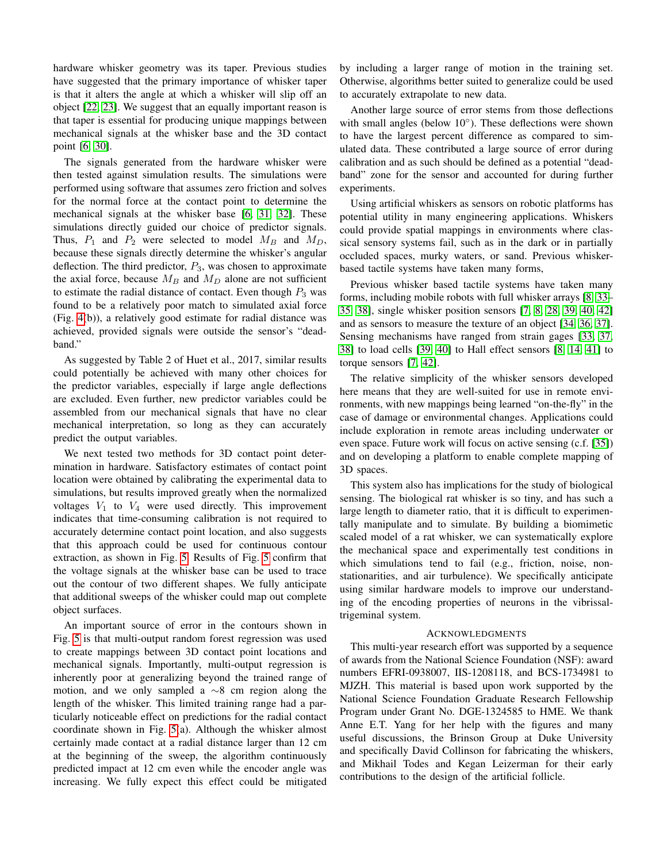hardware whisker geometry was its taper. Previous studies have suggested that the primary importance of whisker taper is that it alters the angle at which a whisker will slip off an object [\[22,](#page-8-20) [23\]](#page-8-21). We suggest that an equally important reason is that taper is essential for producing unique mappings between mechanical signals at the whisker base and the 3D contact point [\[6,](#page-8-4) [30\]](#page-8-19).

The signals generated from the hardware whisker were then tested against simulation results. The simulations were performed using software that assumes zero friction and solves for the normal force at the contact point to determine the mechanical signals at the whisker base [\[6,](#page-8-4) [31,](#page-8-22) [32\]](#page-8-23). These simulations directly guided our choice of predictor signals. Thus,  $P_1$  and  $P_2$  were selected to model  $M_B$  and  $M_D$ , because these signals directly determine the whisker's angular deflection. The third predictor,  $P_3$ , was chosen to approximate the axial force, because  $M_B$  and  $M_D$  alone are not sufficient to estimate the radial distance of contact. Even though  $P_3$  was found to be a relatively poor match to simulated axial force (Fig. [4\(](#page-5-0)b)), a relatively good estimate for radial distance was achieved, provided signals were outside the sensor's "deadband."

As suggested by Table 2 of Huet et al., 2017, similar results could potentially be achieved with many other choices for the predictor variables, especially if large angle deflections are excluded. Even further, new predictor variables could be assembled from our mechanical signals that have no clear mechanical interpretation, so long as they can accurately predict the output variables.

We next tested two methods for 3D contact point determination in hardware. Satisfactory estimates of contact point location were obtained by calibrating the experimental data to simulations, but results improved greatly when the normalized voltages  $V_1$  to  $V_4$  were used directly. This improvement indicates that time-consuming calibration is not required to accurately determine contact point location, and also suggests that this approach could be used for continuous contour extraction, as shown in Fig. [5.](#page-6-0) Results of Fig. [5](#page-6-0) confirm that the voltage signals at the whisker base can be used to trace out the contour of two different shapes. We fully anticipate that additional sweeps of the whisker could map out complete object surfaces.

An important source of error in the contours shown in Fig. [5](#page-6-0) is that multi-output random forest regression was used to create mappings between 3D contact point locations and mechanical signals. Importantly, multi-output regression is inherently poor at generalizing beyond the trained range of motion, and we only sampled a ∼8 cm region along the length of the whisker. This limited training range had a particularly noticeable effect on predictions for the radial contact coordinate shown in Fig. [5\(](#page-6-0)a). Although the whisker almost certainly made contact at a radial distance larger than 12 cm at the beginning of the sweep, the algorithm continuously predicted impact at 12 cm even while the encoder angle was increasing. We fully expect this effect could be mitigated by including a larger range of motion in the training set. Otherwise, algorithms better suited to generalize could be used to accurately extrapolate to new data.

Another large source of error stems from those deflections with small angles (below 10°). These deflections were shown to have the largest percent difference as compared to simulated data. These contributed a large source of error during calibration and as such should be defined as a potential "deadband" zone for the sensor and accounted for during further experiments.

Using artificial whiskers as sensors on robotic platforms has potential utility in many engineering applications. Whiskers could provide spatial mappings in environments where classical sensory systems fail, such as in the dark or in partially occluded spaces, murky waters, or sand. Previous whiskerbased tactile systems have taken many forms,

Previous whisker based tactile systems have taken many forms, including mobile robots with full whisker arrays [\[8,](#page-8-24) [33–](#page-8-25) [35,](#page-9-0) [38\]](#page-9-1), single whisker position sensors [\[7,](#page-8-5) [8,](#page-8-24) [28,](#page-8-17) [39,](#page-9-2) [40,](#page-9-3) [42\]](#page-9-4) and as sensors to measure the texture of an object [\[34,](#page-8-26) [36,](#page-9-5) [37\]](#page-9-6). Sensing mechanisms have ranged from strain gages [\[33,](#page-8-25) [37,](#page-9-6) [38\]](#page-9-1) to load cells [\[39,](#page-9-2) [40\]](#page-9-3) to Hall effect sensors [\[8,](#page-8-24) [14,](#page-8-6) [41\]](#page-9-7) to torque sensors [\[7,](#page-8-5) [42\]](#page-9-4).

The relative simplicity of the whisker sensors developed here means that they are well-suited for use in remote environments, with new mappings being learned "on-the-fly" in the case of damage or environmental changes. Applications could include exploration in remote areas including underwater or even space. Future work will focus on active sensing (c.f. [\[35\]](#page-9-0)) and on developing a platform to enable complete mapping of 3D spaces.

This system also has implications for the study of biological sensing. The biological rat whisker is so tiny, and has such a large length to diameter ratio, that it is difficult to experimentally manipulate and to simulate. By building a biomimetic scaled model of a rat whisker, we can systematically explore the mechanical space and experimentally test conditions in which simulations tend to fail (e.g., friction, noise, nonstationarities, and air turbulence). We specifically anticipate using similar hardware models to improve our understanding of the encoding properties of neurons in the vibrissaltrigeminal system.

## ACKNOWLEDGMENTS

This multi-year research effort was supported by a sequence of awards from the National Science Foundation (NSF): award numbers EFRI-0938007, IIS-1208118, and BCS-1734981 to MJZH. This material is based upon work supported by the National Science Foundation Graduate Research Fellowship Program under Grant No. DGE-1324585 to HME. We thank Anne E.T. Yang for her help with the figures and many useful discussions, the Brinson Group at Duke University and specifically David Collinson for fabricating the whiskers, and Mikhail Todes and Kegan Leizerman for their early contributions to the design of the artificial follicle.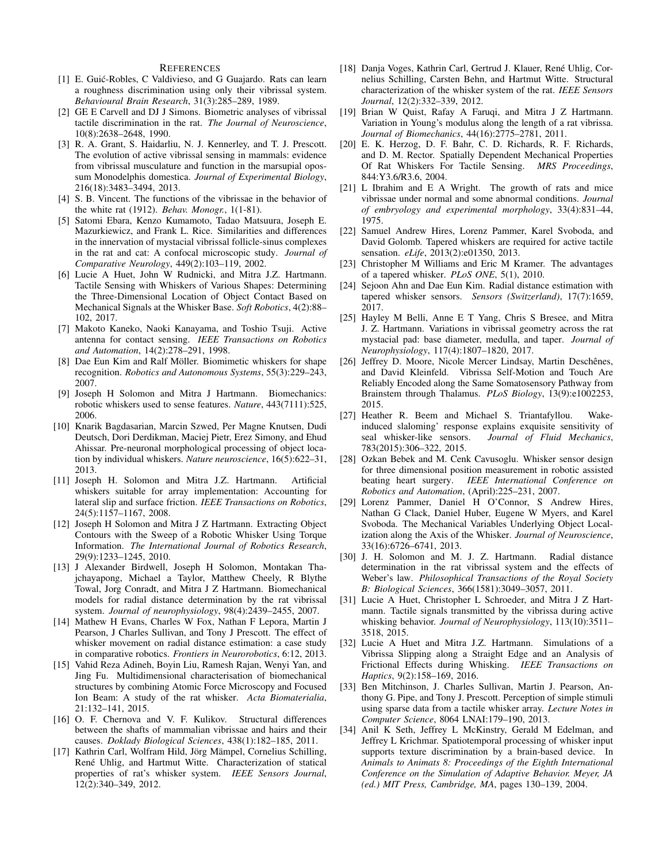#### **REFERENCES**

- <span id="page-8-0"></span>[1] E. Guić-Robles, C Valdivieso, and G Guajardo. Rats can learn a roughness discrimination using only their vibrissal system. *Behavioural Brain Research*, 31(3):285–289, 1989.
- [2] GE E Carvell and DJ J Simons. Biometric analyses of vibrissal tactile discrimination in the rat. *The Journal of Neuroscience*, 10(8):2638–2648, 1990.
- <span id="page-8-1"></span>[3] R. A. Grant, S. Haidarliu, N. J. Kennerley, and T. J. Prescott. The evolution of active vibrissal sensing in mammals: evidence from vibrissal musculature and function in the marsupial opossum Monodelphis domestica. *Journal of Experimental Biology*, 216(18):3483–3494, 2013.
- <span id="page-8-2"></span>[4] S. B. Vincent. The functions of the vibrissae in the behavior of the white rat (1912). *Behav. Monogr.*, 1(1-81).
- <span id="page-8-3"></span>[5] Satomi Ebara, Kenzo Kumamoto, Tadao Matsuura, Joseph E. Mazurkiewicz, and Frank L. Rice. Similarities and differences in the innervation of mystacial vibrissal follicle-sinus complexes in the rat and cat: A confocal microscopic study. *Journal of Comparative Neurology*, 449(2):103–119, 2002.
- <span id="page-8-4"></span>[6] Lucie A Huet, John W Rudnicki, and Mitra J.Z. Hartmann. Tactile Sensing with Whiskers of Various Shapes: Determining the Three-Dimensional Location of Object Contact Based on Mechanical Signals at the Whisker Base. *Soft Robotics*, 4(2):88– 102, 2017.
- <span id="page-8-5"></span>[7] Makoto Kaneko, Naoki Kanayama, and Toshio Tsuji. Active antenna for contact sensing. *IEEE Transactions on Robotics and Automation*, 14(2):278–291, 1998.
- <span id="page-8-24"></span>[8] Dae Eun Kim and Ralf Möller. Biomimetic whiskers for shape recognition. *Robotics and Autonomous Systems*, 55(3):229–243, 2007.
- [9] Joseph H Solomon and Mitra J Hartmann. Biomechanics: robotic whiskers used to sense features. *Nature*, 443(7111):525, 2006.
- [10] Knarik Bagdasarian, Marcin Szwed, Per Magne Knutsen, Dudi Deutsch, Dori Derdikman, Maciej Pietr, Erez Simony, and Ehud Ahissar. Pre-neuronal morphological processing of object location by individual whiskers. *Nature neuroscience*, 16(5):622–31, 2013.
- [11] Joseph H. Solomon and Mitra J.Z. Hartmann. Artificial whiskers suitable for array implementation: Accounting for lateral slip and surface friction. *IEEE Transactions on Robotics*, 24(5):1157–1167, 2008.
- [12] Joseph H Solomon and Mitra J Z Hartmann. Extracting Object Contours with the Sweep of a Robotic Whisker Using Torque Information. *The International Journal of Robotics Research*, 29(9):1233–1245, 2010.
- [13] J Alexander Birdwell, Joseph H Solomon, Montakan Thajchayapong, Michael a Taylor, Matthew Cheely, R Blythe Towal, Jorg Conradt, and Mitra J Z Hartmann. Biomechanical models for radial distance determination by the rat vibrissal system. *Journal of neurophysiology*, 98(4):2439–2455, 2007.
- <span id="page-8-6"></span>[14] Mathew H Evans, Charles W Fox, Nathan F Lepora, Martin J Pearson, J Charles Sullivan, and Tony J Prescott. The effect of whisker movement on radial distance estimation: a case study in comparative robotics. *Frontiers in Neurorobotics*, 6:12, 2013.
- <span id="page-8-7"></span>[15] Vahid Reza Adineh, Boyin Liu, Ramesh Rajan, Wenyi Yan, and Jing Fu. Multidimensional characterisation of biomechanical structures by combining Atomic Force Microscopy and Focused Ion Beam: A study of the rat whisker. *Acta Biomaterialia*, 21:132–141, 2015.
- [16] O. F. Chernova and V. F. Kulikov. Structural differences between the shafts of mammalian vibrissae and hairs and their causes. *Doklady Biological Sciences*, 438(1):182–185, 2011.
- <span id="page-8-9"></span>[17] Kathrin Carl, Wolfram Hild, Jörg Mämpel, Cornelius Schilling, René Uhlig, and Hartmut Witte. Characterization of statical properties of rat's whisker system. *IEEE Sensors Journal*, 12(2):340–349, 2012.
- <span id="page-8-8"></span>[18] Danja Voges, Kathrin Carl, Gertrud J. Klauer, René Uhlig, Cornelius Schilling, Carsten Behn, and Hartmut Witte. Structural characterization of the whisker system of the rat. *IEEE Sensors Journal*, 12(2):332–339, 2012.
- <span id="page-8-10"></span>[19] Brian W Quist, Rafay A Faruqi, and Mitra J Z Hartmann. Variation in Young's modulus along the length of a rat vibrissa. *Journal of Biomechanics*, 44(16):2775–2781, 2011.
- <span id="page-8-11"></span>[20] E. K. Herzog, D. F. Bahr, C. D. Richards, R. F. Richards, and D. M. Rector. Spatially Dependent Mechanical Properties Of Rat Whiskers For Tactile Sensing. *MRS Proceedings*, 844:Y3.6/R3.6, 2004.
- <span id="page-8-12"></span>[21] L Ibrahim and E A Wright. The growth of rats and mice vibrissae under normal and some abnormal conditions. *Journal of embryology and experimental morphology*, 33(4):831–44, 1975.
- <span id="page-8-20"></span>[22] Samuel Andrew Hires, Lorenz Pammer, Karel Svoboda, and David Golomb. Tapered whiskers are required for active tactile sensation. *eLife*, 2013(2):e01350, 2013.
- <span id="page-8-21"></span>[23] Christopher M Williams and Eric M Kramer. The advantages of a tapered whisker. *PLoS ONE*, 5(1), 2010.
- <span id="page-8-13"></span>[24] Sejoon Ahn and Dae Eun Kim. Radial distance estimation with tapered whisker sensors. *Sensors (Switzerland)*, 17(7):1659, 2017.
- <span id="page-8-14"></span>[25] Hayley M Belli, Anne E T Yang, Chris S Bresee, and Mitra J. Z. Hartmann. Variations in vibrissal geometry across the rat mystacial pad: base diameter, medulla, and taper. *Journal of Neurophysiology*, 117(4):1807–1820, 2017.
- <span id="page-8-15"></span>[26] Jeffrey D. Moore, Nicole Mercer Lindsay, Martin Deschênes, and David Kleinfeld. Vibrissa Self-Motion and Touch Are Reliably Encoded along the Same Somatosensory Pathway from Brainstem through Thalamus. *PLoS Biology*, 13(9):e1002253, 2015.
- <span id="page-8-16"></span>[27] Heather R. Beem and Michael S. Triantafyllou. Wakeinduced slaloming' response explains exquisite sensitivity of seal whisker-like sensors. *Journal of Fluid Mechanics*, 783(2015):306–322, 2015.
- <span id="page-8-17"></span>[28] Ozkan Bebek and M. Cenk Cavusoglu. Whisker sensor design for three dimensional position measurement in robotic assisted beating heart surgery. *IEEE International Conference on Robotics and Automation*, (April):225–231, 2007.
- <span id="page-8-18"></span>[29] Lorenz Pammer, Daniel H O'Connor, S Andrew Hires, Nathan G Clack, Daniel Huber, Eugene W Myers, and Karel Svoboda. The Mechanical Variables Underlying Object Localization along the Axis of the Whisker. *Journal of Neuroscience*, 33(16):6726–6741, 2013.
- <span id="page-8-19"></span>[30] J. H. Solomon and M. J. Z. Hartmann. Radial distance determination in the rat vibrissal system and the effects of Weber's law. *Philosophical Transactions of the Royal Society B: Biological Sciences*, 366(1581):3049–3057, 2011.
- <span id="page-8-22"></span>[31] Lucie A Huet, Christopher L Schroeder, and Mitra J Z Hartmann. Tactile signals transmitted by the vibrissa during active whisking behavior. *Journal of Neurophysiology*, 113(10):3511– 3518, 2015.
- <span id="page-8-23"></span>[32] Lucie A Huet and Mitra J.Z. Hartmann. Simulations of a Vibrissa Slipping along a Straight Edge and an Analysis of Frictional Effects during Whisking. *IEEE Transactions on Haptics*, 9(2):158–169, 2016.
- <span id="page-8-25"></span>[33] Ben Mitchinson, J. Charles Sullivan, Martin J. Pearson, Anthony G. Pipe, and Tony J. Prescott. Perception of simple stimuli using sparse data from a tactile whisker array. *Lecture Notes in Computer Science*, 8064 LNAI:179–190, 2013.
- <span id="page-8-26"></span>[34] Anil K Seth, Jeffrey L McKinstry, Gerald M Edelman, and Jeffrey L Krichmar. Spatiotemporal processing of whisker input supports texture discrimination by a brain-based device. In *Animals to Animats 8: Proceedings of the Eighth International Conference on the Simulation of Adaptive Behavior. Meyer, JA (ed.) MIT Press, Cambridge, MA*, pages 130–139, 2004.